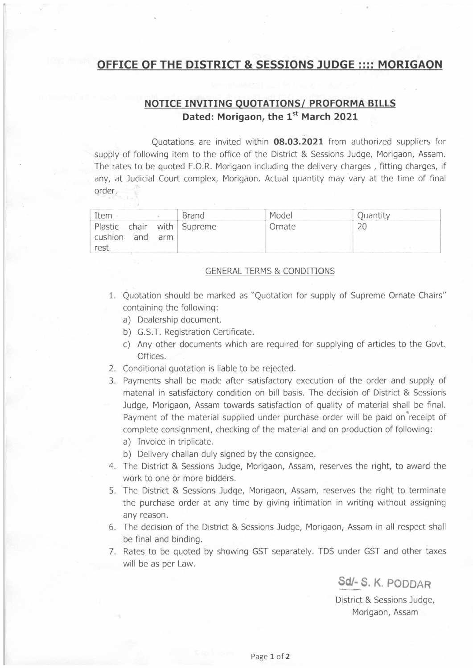## OFFICE OF THE DISTRICT & SESSIONS JUDGE :::: MORIGAQN

## NOTICE INVITING QUOTATIONS/ PROFORMA BILLS Dated: Morigaon, the 1<sup>st</sup> March 2021

Quotations are invited within 08.03.2021 from authorized suppliers for supply of following item to the office of the District & Sessions Judge, Morigaon, Assam. The rates to be quoted F.O,R. Morigaon including the delivery charges , fitting charges, if any, at ludicial Court complex, Morigaon. Actual quantity may vary at the time of final order,

| Item                  |     |     | <b>Brand</b>               | Model  | Ouan |
|-----------------------|-----|-----|----------------------------|--------|------|
| cushion<br>$r \rho s$ | and | arm | Plastic chair with Supreme | Ornate |      |

## GENERAL TERMS & CONDITIONS

- 1. Quotation should be marked as "Quotation for supply of Supreme Ornate Chairs" containing the following:
	- a) Dealership document.
	- b) G.S.T. Registration Certificate.
	- c) Any other documents which are required for supplying of articles to the Govt. Offices.
- 2. Conditional quotation is liable to be rejected.
- 3. Payments shall be made after satisfactory execution of the order and supply of material in satisfactory condition on bill basis. The decision of District & Sessions Judge, Morigaon, Assam towards satisfaction of quality of material shall be final. Payment of the material supplied under purchase order will be paid on receipt of complete consignment, checking of the material and on production of following:
	- a) Invoice in triplicate.
	- b) Delivery challan duly signed by the consignee.
- 4. The District & Sessions Judge, Morigaon, Assam, reserves the right, to award the work to one or more bidders.
- 5. The District & Sessions Judge, Morigaon, Assam, reserves the right to terminate the purchase order at any time by giving intimation in writing without assigning any reason.
- The decision of the District & Sessions Judge, Morigaon, Assam in all respect shall 6. be final and binding.
- 7. Rates to be quoted by showing GST separately. TDS under GST and other taxes will be as per Law.

Sd/- S. K. PODDAR

District & Sessions Judge, Morigaon, Assam